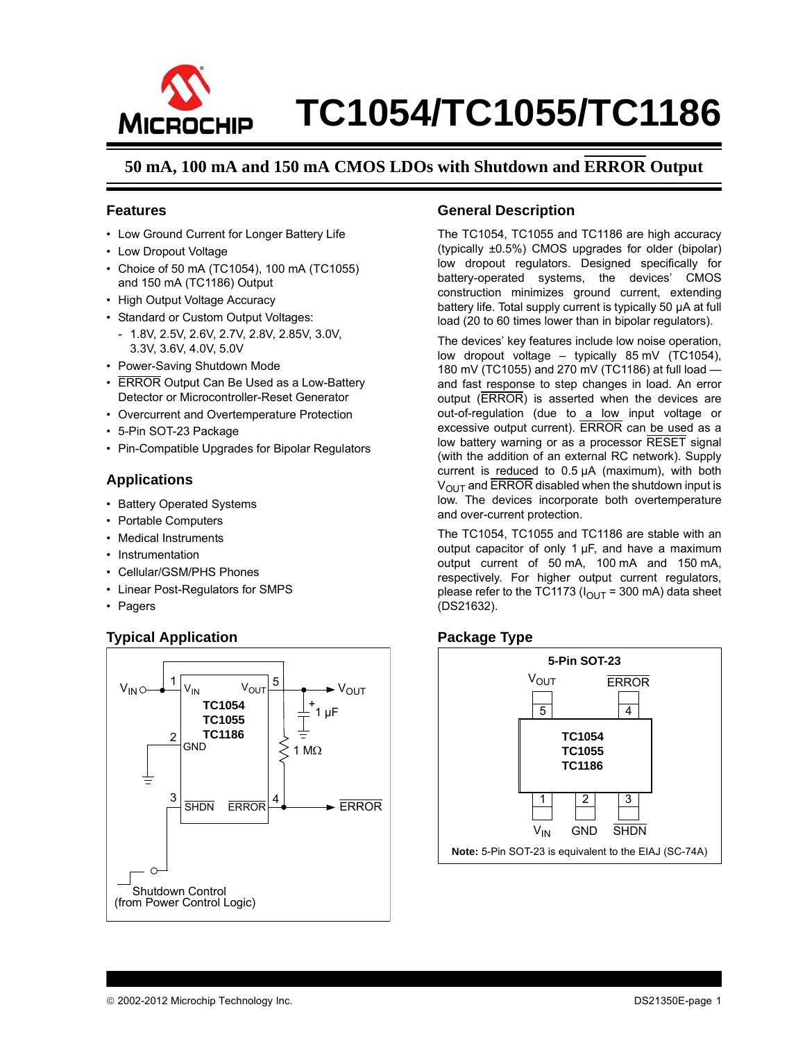

### **50 mA, 100 mA and 150 mA CMOS LDOs with Shutdown and ERROR Output**

#### **Features**

- Low Ground Current for Longer Battery Life
- Low Dropout Voltage
- Choice of 50 mA (TC1054), 100 mA (TC1055) and 150 mA (TC1186) Output
- High Output Voltage Accuracy
- Standard or Custom Output Voltages:
- 1.8V, 2.5V, 2.6V, 2.7V, 2.8V, 2.85V, 3.0V, 3.3V, 3.6V, 4.0V, 5.0V
- Power-Saving Shutdown Mode
- ERROR Output Can Be Used as a Low-Battery Detector or Microcontroller-Reset Generator
- Overcurrent and Overtemperature Protection
- 5-Pin SOT-23 Package
- Pin-Compatible Upgrades for Bipolar Regulators

#### **Applications**

- Battery Operated Systems
- Portable Computers
- Medical Instruments
- Instrumentation
- Cellular/GSM/PHS Phones
- Linear Post-Regulators for SMPS
- Pagers

#### **Typical Application**



#### **General Description**

The TC1054, TC1055 and TC1186 are high accuracy (typically ±0.5%) CMOS upgrades for older (bipolar) low dropout regulators. Designed specifically for battery-operated systems, the devices' CMOS construction minimizes ground current, extending battery life. Total supply current is typically 50 µA at full load (20 to 60 times lower than in bipolar regulators).

The devices' key features include low noise operation, low dropout voltage – typically 85 mV (TC1054), 180 mV (TC1055) and 270 mV (TC1186) at full load and fast response to step changes in load. An error output (ERROR) is asserted when the devices are out-of-regulation (due to a low input voltage or excessive output current). ERROR can be used as a low battery warning or as a processor RESET signal (with the addition of an external RC network). Supply current is reduced to 0.5 µA (maximum), with both  $V_{\text{OUT}}$  and ERROR disabled when the shutdown input is low. The devices incorporate both overtemperature and over-current protection.

The TC1054, TC1055 and TC1186 are stable with an output capacitor of only 1 µF, and have a maximum output current of 50 mA, 100 mA and 150 mA, respectively. For higher output current regulators, please refer to the TC1173 ( $I_{\text{OUT}}$  = 300 mA) data sheet (DS21632).

#### **Package Type**

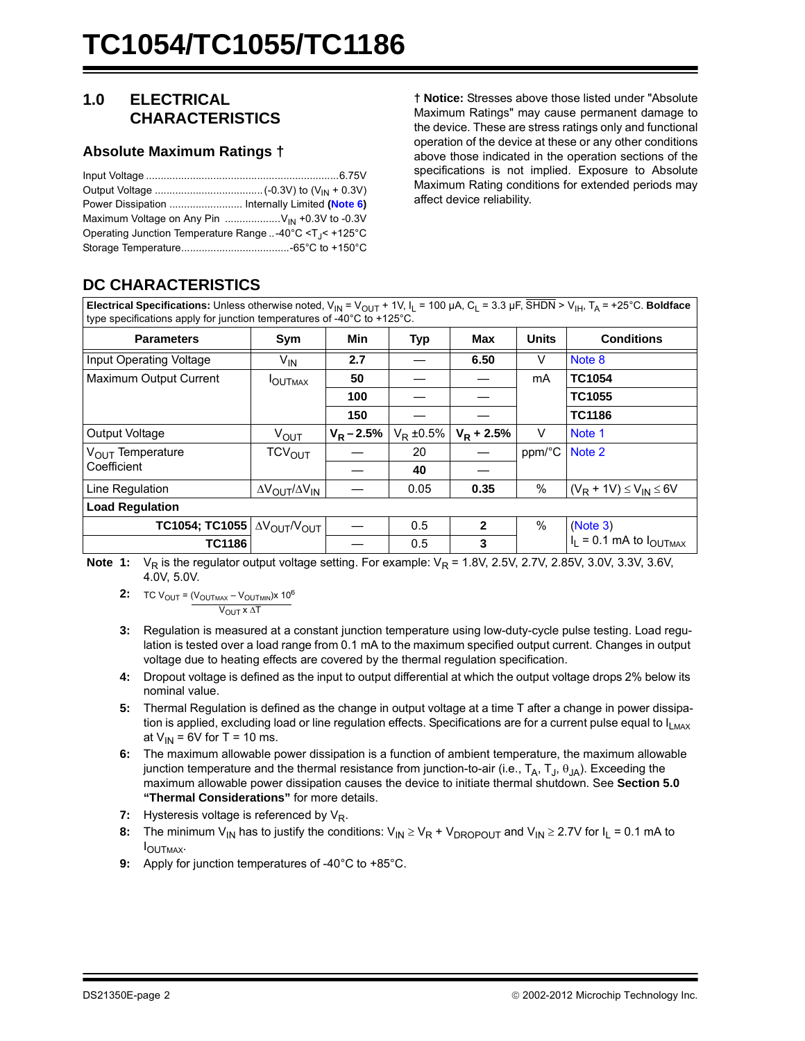#### <span id="page-1-9"></span>**1.0 ELECTRICAL CHARACTERISTICS**

#### <span id="page-1-10"></span>**Absolute Maximum Ratings †**

| Maximum Voltage on Any Pin $\ldots$ V <sub>IN</sub> +0.3V to -0.3V      |  |
|-------------------------------------------------------------------------|--|
| Operating Junction Temperature Range  -40°C <t<sub>J&lt; +125°C</t<sub> |  |
|                                                                         |  |

**† Notice:** Stresses above those listed under "Absolute Maximum Ratings" may cause permanent damage to the device. These are stress ratings only and functional operation of the device at these or any other conditions above those indicated in the operation sections of the specifications is not implied. Exposure to Absolute Maximum Rating conditions for extended periods may affect device reliability.

## **DC CHARACTERISTICS**

**Electrical Specifications:** Unless otherwise noted,  $V_{\text{IN}} = V_{\text{OUT}} + 1V$ ,  $I_{\text{L}} = 100 \mu\text{A}$ ,  $C_{\text{L}} = 3.3 \mu\text{F}$ ,  $\overline{\text{SHDN}} > V_{\text{IH}}$ ,  $T_{\text{A}} = +25^{\circ}\text{C}$ . **Boldface** type specifications apply for junction temperatures of -40°C to +125°C.

| <b>Parameters</b>            | Sym                                          | Min           | <b>Typ</b>    | Max          | <b>Units</b> | <b>Conditions</b>                |  |
|------------------------------|----------------------------------------------|---------------|---------------|--------------|--------------|----------------------------------|--|
| Input Operating Voltage      | $V_{IN}$                                     | 2.7           |               | 6.50         | $\vee$       | Note 8                           |  |
| Maximum Output Current       | <b>IOUTMAX</b>                               | 50            |               |              | mA           | <b>TC1054</b>                    |  |
|                              |                                              | 100           |               |              |              | <b>TC1055</b>                    |  |
|                              |                                              | 150           |               |              |              | <b>TC1186</b>                    |  |
| Output Voltage               | $V_{\text{OUT}}$                             | $V_R - 2.5\%$ | $V_R = 0.5\%$ | $V_R$ + 2.5% | V            | Note 1                           |  |
| V <sub>OUT</sub> Temperature | <b>TCV<sub>OUT</sub></b>                     |               | 20            |              | ppm/°C       | Note 2                           |  |
| Coefficient                  |                                              |               | 40            |              |              |                                  |  |
| Line Regulation              | $\Delta V_{\text{OUT}}/\Delta V_{\text{IN}}$ |               | 0.05          | 0.35         | $\%$         | $(V_R + 1V) \leq V_{IN} \leq 6V$ |  |
| <b>Load Regulation</b>       |                                              |               |               |              |              |                                  |  |
| TC1054; TC1055               | $\Delta V_{\text{OUT}}/V_{\text{OUT}}$       |               | 0.5           | $\mathbf{2}$ | $\%$         | (Note 3)                         |  |
| <b>TC1186</b>                |                                              |               | 0.5           | 3            |              | $I_1 = 0.1$ mA to $I_{OUTMAX}$   |  |

<span id="page-1-3"></span><span id="page-1-2"></span>**Note 1:**  $V_R$  is the regulator output voltage setting. For example:  $V_R$  = 1.8V, 2.5V, 2.7V, 2.85V, 3.0V, 3.3V, 3.6V, 4.0V, 5.0V.

- **2:** TC V<sub>OUT</sub> = (V<sub>OUTMAX</sub> V<sub>OUTMIN</sub>)x 10<sup>6</sup> V<sub>OUT</sub> x ΔT
- <span id="page-1-4"></span>**3:** Regulation is measured at a constant junction temperature using low-duty-cycle pulse testing. Load regulation is tested over a load range from 0.1 mA to the maximum specified output current. Changes in output voltage due to heating effects are covered by the thermal regulation specification.
- <span id="page-1-5"></span>**4:** Dropout voltage is defined as the input to output differential at which the output voltage drops 2% below its nominal value.
- <span id="page-1-7"></span>**5:** Thermal Regulation is defined as the change in output voltage at a time T after a change in power dissipation is applied, excluding load or line regulation effects. Specifications are for a current pulse equal to  $I_{LMAX}$ at  $V_{IN}$  = 6V for T = 10 ms.
- <span id="page-1-0"></span>**6:** The maximum allowable power dissipation is a function of ambient temperature, the maximum allowable junction temperature and the thermal resistance from junction-to-air (i.e.,  $T_A$ ,  $T_A$ ,  $\theta_{JA}$ ). Exceeding the maximum allowable power dissipation causes the device to initiate thermal shutdown. See **[Section 5.0](#page-9-0)  ["Thermal Considerations"](#page-9-0)** for more details.
- <span id="page-1-8"></span>**7:** Hysteresis voltage is referenced by V<sub>R</sub>.
- <span id="page-1-1"></span>**8:** The minimum V<sub>IN</sub> has to justify the conditions:  $V_{IN} \geq V_R + V_{DROPOUT}$  and V<sub>IN</sub>  $\geq$  2.7V for I<sub>L</sub> = 0.1 mA to IOUTMAX.
- <span id="page-1-6"></span>**9:** Apply for junction temperatures of -40°C to +85°C.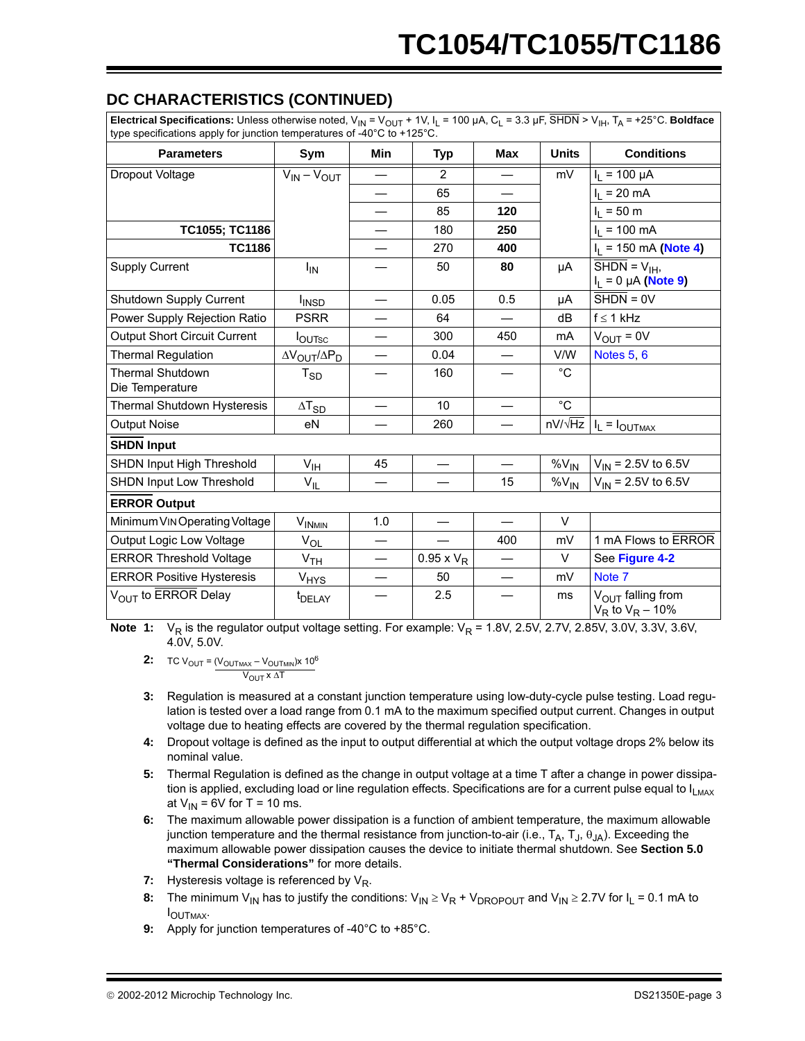### **DC CHARACTERISTICS (CONTINUED)**

**Electrical Specifications:** Unless otherwise noted,  $V_{IN} = V_{OUT} + 1V$ ,  $I_L = 100 \mu A$ ,  $C_L = 3.3 \mu F$ ,  $\overline{S HDN} > V_{IH}$ ,  $T_A = +25^{\circ}C$ . **Boldface** type specifications apply for junction temperatures of -40°C to +125°C.

| <b>Parameters</b>                          | Sym                         | <b>Min</b>               | <b>Typ</b>        | <b>Max</b>               | <b>Units</b> | <b>Conditions</b>                                                             |
|--------------------------------------------|-----------------------------|--------------------------|-------------------|--------------------------|--------------|-------------------------------------------------------------------------------|
| Dropout Voltage                            | $V_{IN} - V_{OUT}$          |                          | $\overline{2}$    |                          | mV           | $I_1 = 100 \mu A$                                                             |
|                                            |                             | $\overline{\phantom{0}}$ | 65                |                          |              | $I_L = 20 \text{ mA}$                                                         |
|                                            |                             | $\overline{\phantom{0}}$ | 85                | 120                      |              | $I_L = 50$ m                                                                  |
| TC1055; TC1186                             |                             |                          | 180               | 250                      |              | $I_1 = 100$ mA                                                                |
| <b>TC1186</b>                              |                             |                          | 270               | 400                      |              | $I_1 = 150$ mA (Note 4)                                                       |
| <b>Supply Current</b>                      | <b>I<sub>IN</sub></b>       |                          | 50                | 80                       | μA           | $\overline{\text{SHDN}} = \mathsf{V}_{\text{IH}}$<br>$I_L = 0 \mu A$ (Note 9) |
| Shutdown Supply Current                    | I <sub>INSD</sub>           | $\overline{\phantom{0}}$ | 0.05              | 0.5                      | μA           | $\overline{\text{SHDN}} = 0 \vee$                                             |
| Power Supply Rejection Ratio               | <b>PSRR</b>                 |                          | 64                |                          | dB           | $f \leq 1$ kHz                                                                |
| <b>Output Short Circuit Current</b>        | $I_{\text{OUTSC}}$          |                          | 300               | 450                      | mA           | $V_{OUT} = 0V$                                                                |
| <b>Thermal Regulation</b>                  | $\Delta V_{OUT}/\Delta P_D$ |                          | 0.04              |                          | V/W          | Notes 5, 6                                                                    |
| <b>Thermal Shutdown</b><br>Die Temperature | $T_{SD}$                    |                          | 160               |                          | $^{\circ}$ C |                                                                               |
| Thermal Shutdown Hysteresis                | $\Delta T_{SD}$             |                          | 10                |                          | $^{\circ}C$  |                                                                               |
| <b>Output Noise</b>                        | eN                          |                          | 260               |                          |              | $nV/\sqrt{Hz}$   $I_L = I_{OUTMAX}$                                           |
| <b>SHDN Input</b>                          |                             |                          |                   |                          |              |                                                                               |
| SHDN Input High Threshold                  | V <sub>IH</sub>             | 45                       |                   |                          | $%V_{IN}$    | $V_{\text{IN}}$ = 2.5V to 6.5V                                                |
| SHDN Input Low Threshold                   | $V_{IL}$                    |                          |                   | 15                       | $%V_{IN}$    | $V_{IN}$ = 2.5V to 6.5V                                                       |
| <b>ERROR Output</b>                        |                             |                          |                   |                          |              |                                                                               |
| Minimum VIN Operating Voltage              | <b>VINMIN</b>               | 1.0                      |                   | $\overline{\phantom{0}}$ | $\vee$       |                                                                               |
| Output Logic Low Voltage                   | $V_{OL}$                    | $\overline{\phantom{0}}$ |                   | 400                      | mV           | 1 mA Flows to ERROR                                                           |
| <b>ERROR Threshold Voltage</b>             | V <sub>TH</sub>             |                          | $0.95 \times V_R$ |                          | $\vee$       | See Figure 4-2                                                                |
| <b>ERROR Positive Hysteresis</b>           | <b>V<sub>HYS</sub></b>      | $\overline{\phantom{m}}$ | 50                | $\overline{\phantom{m}}$ | mV           | Note 7                                                                        |
| V <sub>OUT</sub> to ERROR Delay            | t <sub>DELAY</sub>          |                          | 2.5               |                          | ms           | $V_{OUIT}$ falling from<br>$V_R$ to $V_R$ – 10%                               |

**Note 1:** V<sub>R</sub> is the regulator output voltage setting. For example: V<sub>R</sub> = 1.8V, 2.5V, 2.7V, 2.85V, 3.0V, 3.3V, 3.6V, 4.0V, 5.0V.

**2:** TC V<sub>OUT</sub> = (V<sub>OUTMAX</sub> – V<sub>OUTMIN</sub>)x 10<sup>6</sup> V<sub>OUT</sub> x ΔT

- **3:** Regulation is measured at a constant junction temperature using low-duty-cycle pulse testing. Load regulation is tested over a load range from 0.1 mA to the maximum specified output current. Changes in output voltage due to heating effects are covered by the thermal regulation specification.
- **4:** Dropout voltage is defined as the input to output differential at which the output voltage drops 2% below its nominal value.
- **5:** Thermal Regulation is defined as the change in output voltage at a time T after a change in power dissipation is applied, excluding load or line regulation effects. Specifications are for a current pulse equal to  $I_{LMAX}$ at  $V_{IN}$  = 6V for T = 10 ms.
- **6:** The maximum allowable power dissipation is a function of ambient temperature, the maximum allowable junction temperature and the thermal resistance from junction-to-air (i.e.,  $T_A$ ,  $T_A$ ,  $T_A$ ,  $\theta_{JA}$ ). Exceeding the maximum allowable power dissipation causes the device to initiate thermal shutdown. See **Section 5.0 "Thermal Considerations"** for more details.
- **7:** Hysteresis voltage is referenced by V<sub>R</sub>.
- **8:** The minimum V<sub>IN</sub> has to justify the conditions:  $V_{IN} \geq V_R + V_{DROPOUT}$  and V<sub>IN</sub>  $\geq$  2.7V for I<sub>L</sub> = 0.1 mA to  $I$ OUTMAX.
- **9:** Apply for junction temperatures of -40°C to +85°C.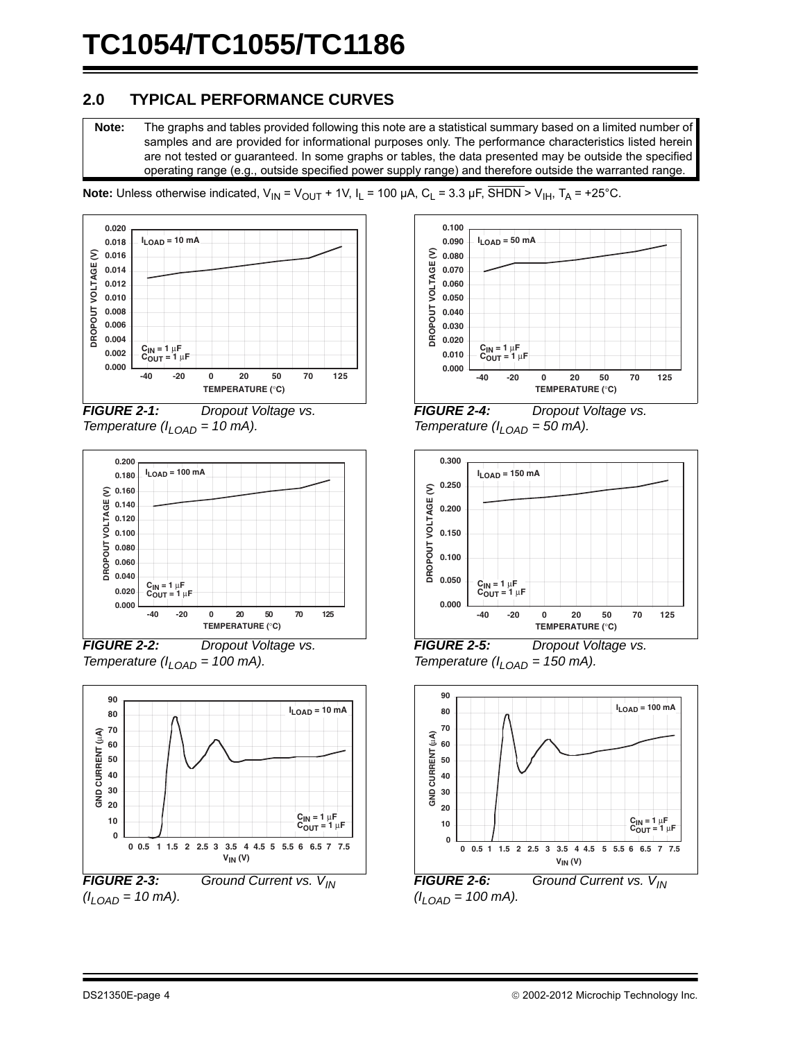### **2.0 TYPICAL PERFORMANCE CURVES**

**Note:** The graphs and tables provided following this note are a statistical summary based on a limited number of samples and are provided for informational purposes only. The performance characteristics listed herein are not tested or guaranteed. In some graphs or tables, the data presented may be outside the specified operating range (e.g., outside specified power supply range) and therefore outside the warranted range.









*FIGURE 2-2: Dropout Voltage vs. Temperature (ILOAD = 100 mA).*



*FIGURE 2-3: Ground Current vs. V<sub>IN</sub>*  $(I_{LOAD} = 10 \text{ mA}).$ 



*FIGURE 2-4: Dropout Voltage vs. Temperature (ILOAD = 50 mA).*



*FIGURE 2-5: Dropout Voltage vs. Temperature (ILOAD = 150 mA).*



*FIGURE 2-6: Ground Current vs.*  $V_{IN}$  $(I_{LOAD} = 100 \text{ mA}).$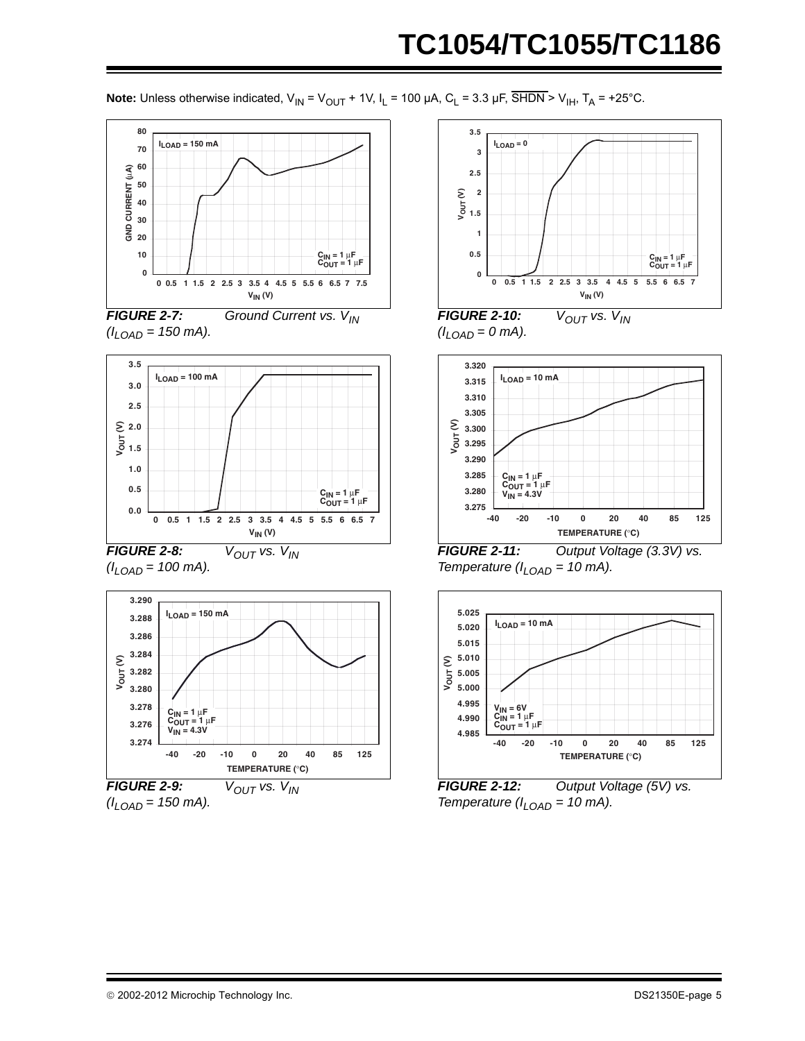**Note:** Unless otherwise indicated,  $V_{IN} = V_{OUT} + 1V$ ,  $I_L = 100 \mu A$ ,  $C_L = 3.3 \mu F$ ,  $\overline{SHDN} > V_{IH}$ ,  $T_A = +25^{\circ}C$ .







*FIGURE 2-8:*  $V_{OUT}$  vs.  $V_{IN}$  $(l_{LOAD} = 100 \text{ mA}).$ 



 $(l_{LOAD} = 150 \text{ mA}).$ 



*FIGURE 2-10: V<sub>OUT</sub> vs. V<sub>IN</sub>*  $(l_{LOAD} = 0 \, \text{mA}).$ 



*FIGURE 2-11: Output Voltage (3.3V) vs. Temperature (* $I_{I \text{ OAD}}$  *= 10 mA).* 



*FIGURE 2-12: Output Voltage (5V) vs. Temperature (* $I_{LOAD}$  *= 10 mA).*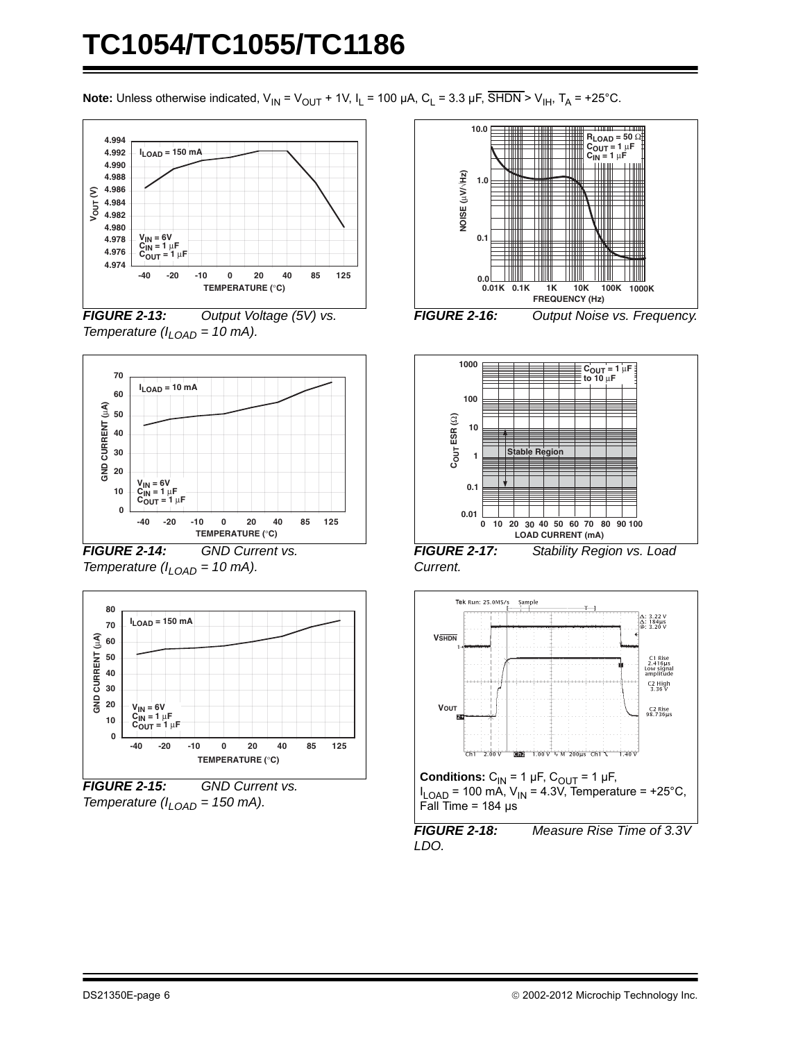**Note:** Unless otherwise indicated,  $V_{IN} = V_{OUT} + 1V$ ,  $I_L = 100 \mu A$ ,  $C_L = 3.3 \mu F$ ,  $\overline{SHDN} > V_{IH}$ ,  $T_A = +25^{\circ}C$ .



*FIGURE 2-13: Output Voltage (5V) vs. Temperature (ILOAD = 10 mA).*



*FIGURE 2-14: GND Current vs. Temperature (* $I_{LOAD}$  *= 10 mA).* 



*Temperature (ILOAD = 150 mA).*





*FIGURE 2-17: Stability Region vs. Load Current.*



*FIGURE 2-18: Measure Rise Time of 3.3V LDO.*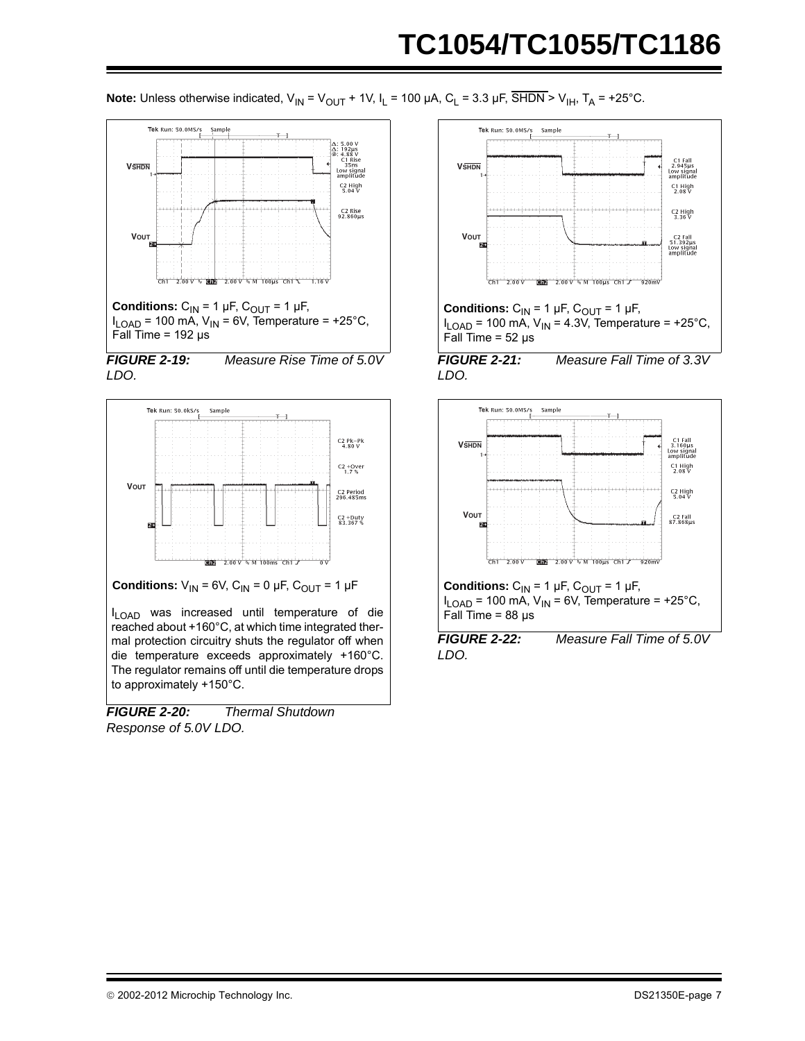**Note:** Unless otherwise indicated,  $V_{IN} = V_{OUT} + 1V$ ,  $I_L = 100 \mu A$ ,  $C_L = 3.3 \mu F$ ,  $\overline{SHDN} > V_{IH}$ ,  $T_A = +25^{\circ}C$ .









I<sub>LOAD</sub> was increased until temperature of die reached about +160°C, at which time integrated thermal protection circuitry shuts the regulator off when die temperature exceeds approximately +160°C. The regulator remains off until die temperature drops to approximately +150°C.

*FIGURE 2-20: Thermal Shutdown Response of 5.0V LDO.*



 $I_{\text{LOAD}}$  = 100 mA,  $V_{\text{IN}}$  = 4.3V, Temperature = +25°C, Fall Time =  $52 \mu s$ 

*FIGURE 2-21: Measure Fall Time of 3.3V LDO.*



*LDO.*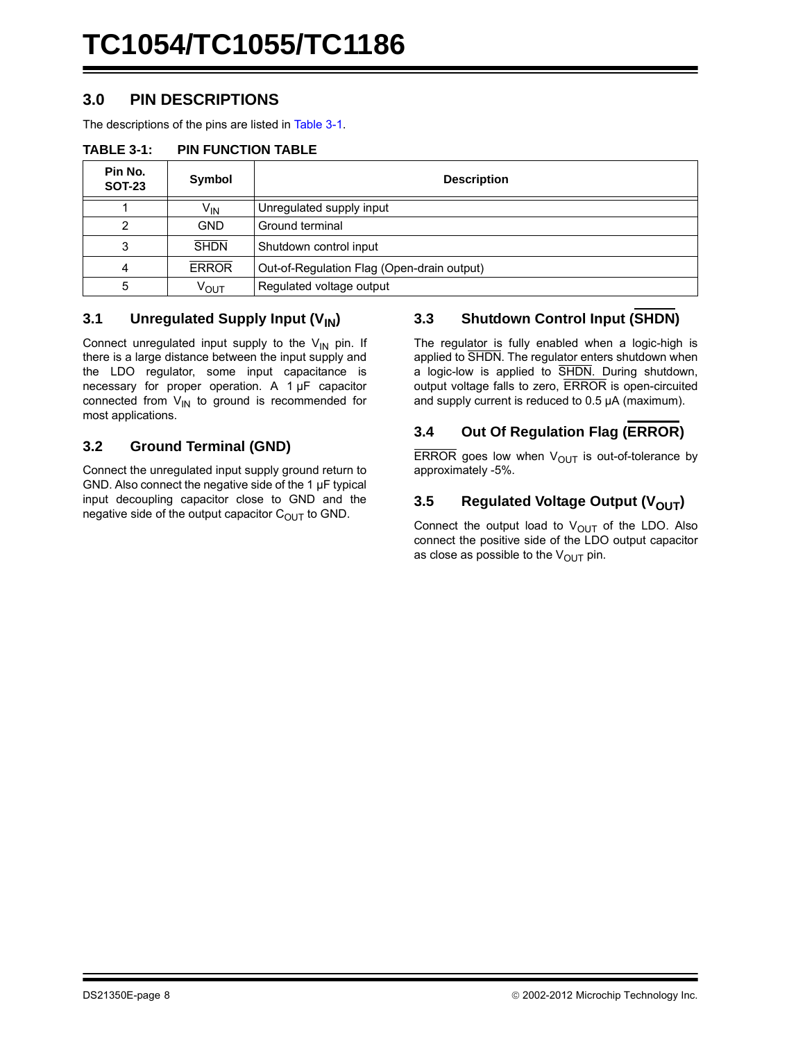#### **3.0 PIN DESCRIPTIONS**

The descriptions of the pins are listed in [Table 3-1.](#page-7-0)

<span id="page-7-0"></span>

|  | <b>TABLE 3-1:</b> | <b>PIN FUNCTION TABLE</b> |
|--|-------------------|---------------------------|
|--|-------------------|---------------------------|

| Pin No.<br><b>SOT-23</b> | Symbol          | <b>Description</b>                         |
|--------------------------|-----------------|--------------------------------------------|
|                          | V <sub>IN</sub> | Unregulated supply input                   |
|                          | GND.            | Ground terminal                            |
| 3                        | <b>SHDN</b>     | Shutdown control input                     |
| 4                        | <b>ERROR</b>    | Out-of-Regulation Flag (Open-drain output) |
|                          | Ѵѹт             | Regulated voltage output                   |

#### **3.1** Unregulated Supply Input (V<sub>IN</sub>)

Connect unregulated input supply to the  $V_{1N}$  pin. If there is a large distance between the input supply and the LDO regulator, some input capacitance is necessary for proper operation. A 1 µF capacitor connected from  $V_{IN}$  to ground is recommended for most applications.

#### **3.2 Ground Terminal (GND)**

Connect the unregulated input supply ground return to GND. Also connect the negative side of the 1 µF typical input decoupling capacitor close to GND and the negative side of the output capacitor  $C_{\text{OUT}}$  to GND.

#### **3.3 Shutdown Control Input (SHDN)**

The regulator is fully enabled when a logic-high is applied to SHDN. The regulator enters shutdown when a logic-low is applied to SHDN. During shutdown, output voltage falls to zero, ERROR is open-circuited and supply current is reduced to 0.5 µA (maximum).

#### **3.4 Out Of Regulation Flag (ERROR)**

ERROR goes low when  $V_{\text{OUT}}$  is out-of-tolerance by approximately -5%.

#### **3.5** Regulated Voltage Output (V<sub>OUT</sub>)

Connect the output load to  $V_{\text{OUT}}$  of the LDO. Also connect the positive side of the LDO output capacitor as close as possible to the  $V_{\text{OUT}}$  pin.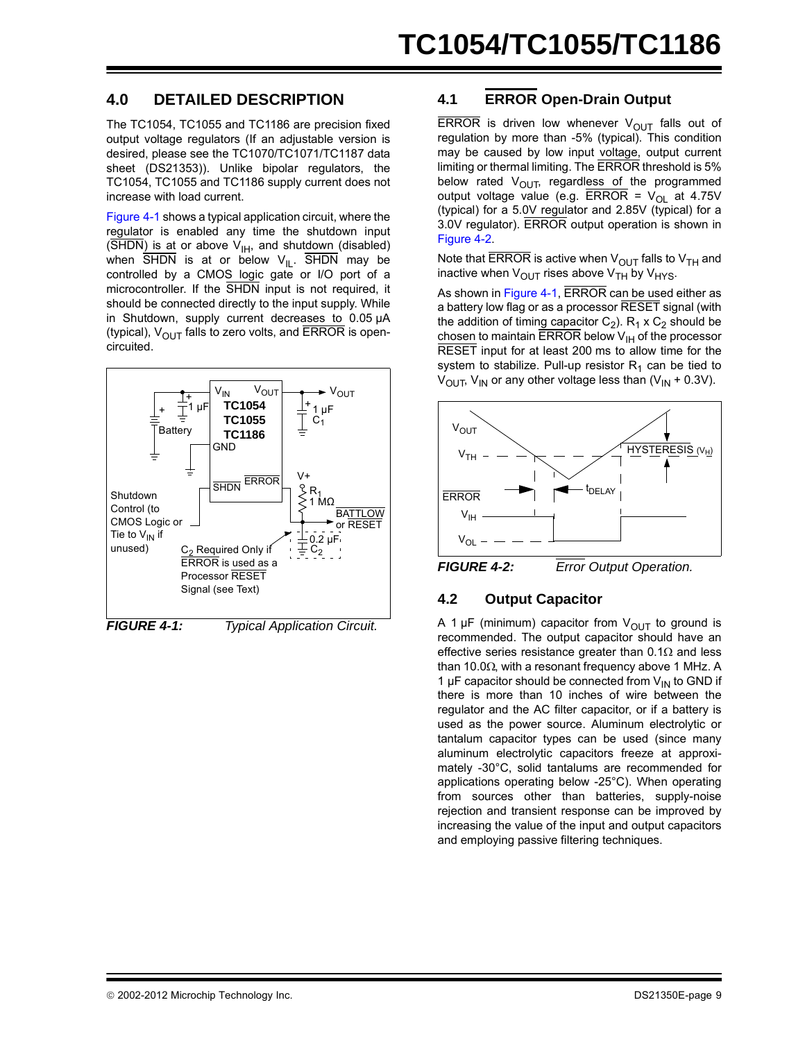### **4.0 DETAILED DESCRIPTION**

The TC1054, TC1055 and TC1186 are precision fixed output voltage regulators (If an adjustable version is desired, please see the TC1070/TC1071/TC1187 data sheet (DS21353)). Unlike bipolar regulators, the TC1054, TC1055 and TC1186 supply current does not increase with load current.

[Figure 4-1](#page-8-1) shows a typical application circuit, where the regulator is enabled any time the shutdown input  $(\overline{\text{SHDN}})$  is at or above  $V_{\text{IH}}$ , and shutdown (disabled) when  $\overline{SHDN}$  is at or below  $V_{IL}$ .  $\overline{SHDN}$  may be controlled by a CMOS logic gate or I/O port of a microcontroller. If the SHDN input is not required, it should be connected directly to the input supply. While in Shutdown, supply current decreases to 0.05 µA (typical),  $V_{\text{OUT}}$  falls to zero volts, and ERROR is opencircuited.

<span id="page-8-1"></span>

#### **4.1 ERROR Open-Drain Output**

ERROR is driven low whenever  $V_{\text{OUT}}$  falls out of regulation by more than -5% (typical). This condition may be caused by low input voltage, output current limiting or thermal limiting. The ERROR threshold is 5% below rated  $V_{\text{OUT}}$ , regardless of the programmed output voltage value (e.g.  $\overline{\text{ERROR}} = V_{OL}$  at 4.75V (typical) for a 5.0V regulator and 2.85V (typical) for a 3.0V regulator). ERROR output operation is shown in [Figure 4-2.](#page-8-0)

Note that ERROR is active when  $V_{OUT}$  falls to  $V_{TH}$  and inactive when  $V_{\text{OUT}}$  rises above  $V_{\text{TH}}$  by  $V_{\text{HYS}}$ .

As shown in [Figure 4-1](#page-8-1), ERROR can be used either as a battery low flag or as a processor RESET signal (with the addition of timing capacitor  $C_2$ ).  $R_1 \times C_2$  should be chosen to maintain ERROR below  $V_{H}$  of the processor RESET input for at least 200 ms to allow time for the system to stabilize. Pull-up resistor  $R_1$  can be tied to  $V_{\text{OUT}}$ ,  $V_{\text{IN}}$  or any other voltage less than ( $V_{\text{IN}}$  + 0.3V).



<span id="page-8-2"></span><span id="page-8-0"></span>*FIGURE 4-2: Error Output Operation.*

#### **4.2 Output Capacitor**

A 1  $\mu$ F (minimum) capacitor from  $V_{\text{OUT}}$  to ground is recommended. The output capacitor should have an effective series resistance greater than  $0.1\Omega$  and less than 10.0 $\Omega$ , with a resonant frequency above 1 MHz. A 1  $\mu$ F capacitor should be connected from  $V_{\text{IN}}$  to GND if there is more than 10 inches of wire between the regulator and the AC filter capacitor, or if a battery is used as the power source. Aluminum electrolytic or tantalum capacitor types can be used (since many aluminum electrolytic capacitors freeze at approximately -30°C, solid tantalums are recommended for applications operating below -25°C). When operating from sources other than batteries, supply-noise rejection and transient response can be improved by increasing the value of the input and output capacitors and employing passive filtering techniques.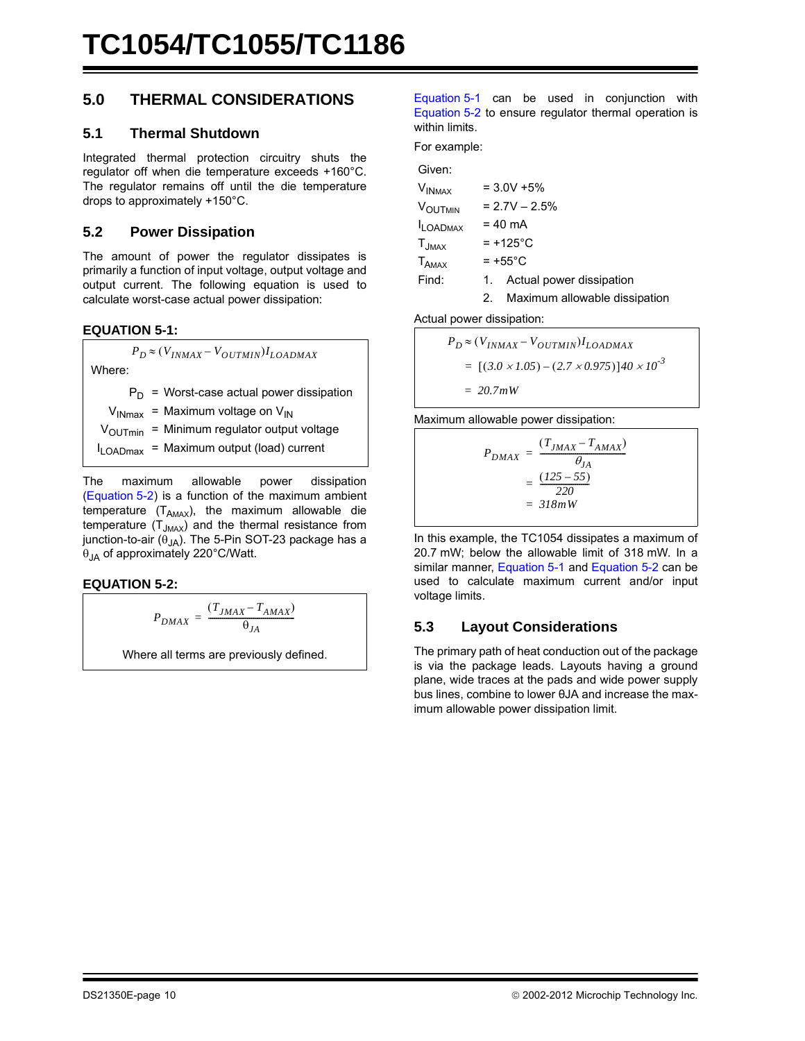### <span id="page-9-0"></span>**5.0 THERMAL CONSIDERATIONS**

#### **5.1 Thermal Shutdown**

Integrated thermal protection circuitry shuts the regulator off when die temperature exceeds +160°C. The regulator remains off until the die temperature drops to approximately +150°C.

#### **5.2 Power Dissipation**

The amount of power the regulator dissipates is primarily a function of input voltage, output voltage and output current. The following equation is used to calculate worst-case actual power dissipation:

<span id="page-9-2"></span>**EQUATION 5-1:**

 $P_D \approx (V_{INMAX} - V_{OUTMIN}) I_{LOADMAX}$ 

Where:

 $P_D$  = Worst-case actual power dissipation

 $V_{INmax}$  = Maximum voltage on  $V_{IN}$ 

 $V_{\text{OUTmin}}$  = Minimum regulator output voltage

 $I_{\text{LOADmax}}$  = Maximum output (load) current

The maximum allowable power dissipation ([Equation 5-2\)](#page-9-1) is a function of the maximum ambient temperature  $(T_{AMAX})$ , the maximum allowable die temperature  $(T_{JMAX})$  and the thermal resistance from junction-to-air ( $\theta_{JA}$ ). The 5-Pin SOT-23 package has a  $\theta_{JA}$  of approximately 220°C/Watt.

#### <span id="page-9-1"></span>**EQUATION 5-2:**

$$
P_{DMAX} = \frac{(T_{JMAX} - T_{AMAX})}{\theta_{JA}}
$$

Where all terms are previously defined.

[Equation 5-1](#page-9-2) can be used in conjunction with [Equation 5-2](#page-9-1) to ensure regulator thermal operation is within limits.

For example:

| Given:                       |    |                               |
|------------------------------|----|-------------------------------|
| V <sub>INMAX</sub>           |    | $= 3.0V + 5%$                 |
| V <sub>OUTMIN</sub>          |    | $= 2.7V - 2.5%$               |
| <b>I</b> LOADMAX             |    | $= 40$ mA                     |
| $\mathsf{T}_{\mathsf{JMAX}}$ |    | $= +125^{\circ}C$             |
| $\mathsf{T}_{\mathsf{AMAX}}$ |    | $= +55^{\circ}$ C             |
| Find:                        |    | 1. Actual power dissipation   |
|                              | 2. | Maximum allowable dissipation |

Actual power dissipation:

$$
P_D \approx (V_{INMAX} - V_{OUTMIN}) I_{LOADMAX}
$$
  
= [(3.0 × 1.05) – (2.7 × 0.975)]40 × 10<sup>-3</sup>  
= 20.7mW

Maximum allowable power dissipation:

 $P_{DMAX} = \frac{(T_{JMAX} - T_{AMAX})}{A}$  $=\frac{\left(1, \frac{J_{MAX}}{J_{MAX}}\right)}{\theta_{JA}}$  $=\frac{(125-55)}{220}$ *= 318mW*

In this example, the TC1054 dissipates a maximum of 20.7 mW; below the allowable limit of 318 mW. In a similar manner, [Equation 5-1](#page-9-2) and [Equation 5-2](#page-9-1) can be used to calculate maximum current and/or input voltage limits.

#### **5.3 Layout Considerations**

The primary path of heat conduction out of the package is via the package leads. Layouts having a ground plane, wide traces at the pads and wide power supply bus lines, combine to lower θJA and increase the maximum allowable power dissipation limit.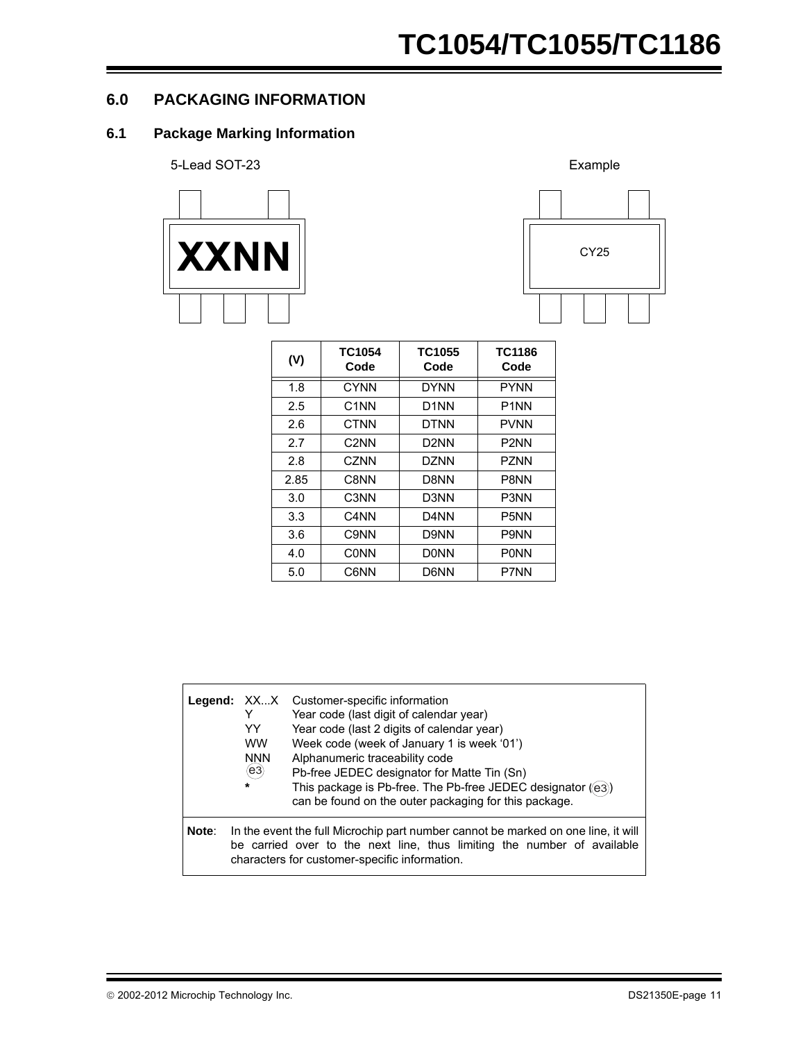#### <span id="page-10-0"></span>**6.0 PACKAGING INFORMATION**

#### **6.1 Package Marking Information**





| (V)  | TC1054<br>Code    | TC1055<br>Code    | TC1186<br>Code                |
|------|-------------------|-------------------|-------------------------------|
| 1.8  | <b>CYNN</b>       | <b>DYNN</b>       | <b>PYNN</b>                   |
| 2.5  | C <sub>1</sub> NN | D <sub>1</sub> NN | P <sub>1</sub> NN             |
| 2.6  | CTNN              | <b>DTNN</b>       | <b>PVNN</b>                   |
| 2.7  | C2NN              | D2NN              | P <sub>2</sub> NN             |
| 2.8  | <b>CZNN</b>       | DZNN              | P7NN                          |
| 2.85 | C8NN              | D8NN              | P8NN                          |
| 3.0  | C3NN              | D3NN              | P <sub>3</sub> N <sub>N</sub> |
| 3.3  | C4NN              | D <sub>4</sub> NN | P <sub>5</sub> NN             |
| 3.6  | C9NN              | D9NN              | P9NN                          |
| 4.0  | CONN              | <b>DONN</b>       | <b>PONN</b>                   |
| 5.0  | C6NN              | D6NN              | P7NN                          |

|       | Legend: XXX<br>Y<br>YY<br><b>WW</b><br><b>NNN</b><br>$\widehat{(\mathsf{e3})}$<br>$\star$ | Customer-specific information<br>Year code (last digit of calendar year)<br>Year code (last 2 digits of calendar year)<br>Week code (week of January 1 is week '01')<br>Alphanumeric traceability code<br>Pb-free JEDEC designator for Matte Tin (Sn)<br>This package is Pb-free. The Pb-free JEDEC designator ((e3))<br>can be found on the outer packaging for this package. |
|-------|-------------------------------------------------------------------------------------------|--------------------------------------------------------------------------------------------------------------------------------------------------------------------------------------------------------------------------------------------------------------------------------------------------------------------------------------------------------------------------------|
| Note: |                                                                                           | In the event the full Microchip part number cannot be marked on one line, it will<br>be carried over to the next line, thus limiting the number of available<br>characters for customer-specific information.                                                                                                                                                                  |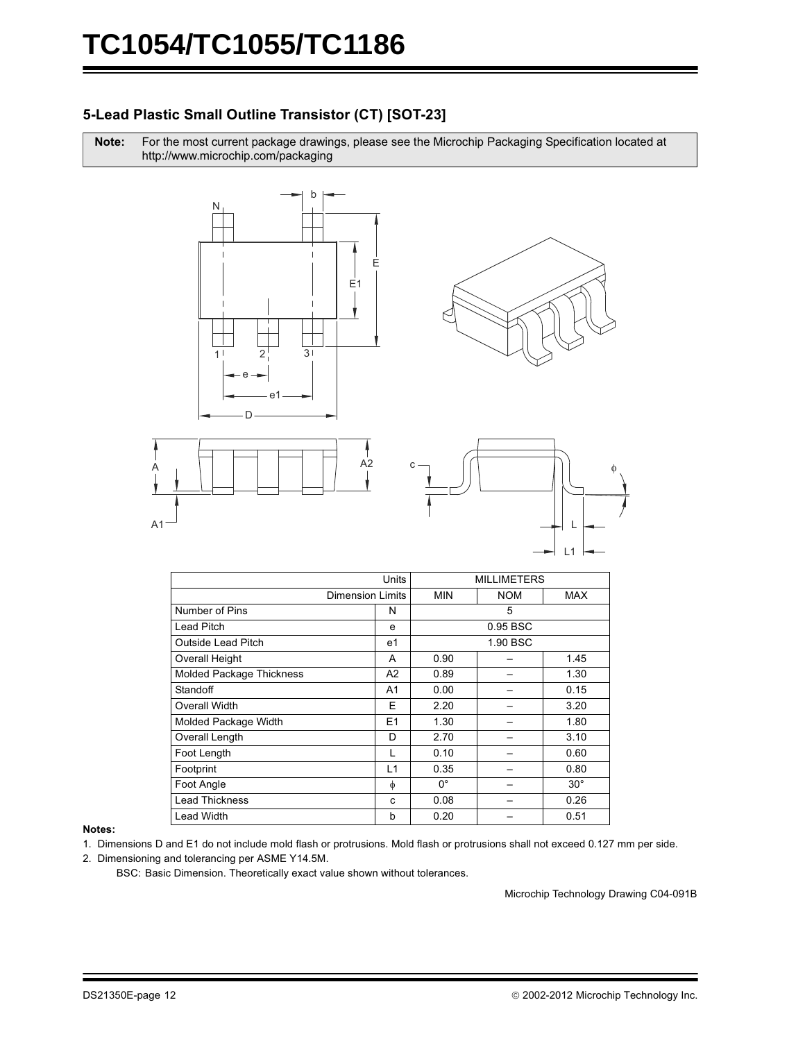#### 5-Lead Plastic Small Outline Transistor (CT) [SOT-23]

Note: For the most current package drawings, please see the Microchip Packaging Specification located at http://www.microchip.com/packaging









|                                 | Units          |             | <b>MILLIMETERS</b> |              |
|---------------------------------|----------------|-------------|--------------------|--------------|
| <b>Dimension Limits</b>         |                | <b>MIN</b>  | <b>NOM</b>         | <b>MAX</b>   |
| Number of Pins                  | N              |             | 5                  |              |
| <b>Lead Pitch</b>               | е              |             | 0.95 BSC           |              |
| <b>Outside Lead Pitch</b>       | e <sub>1</sub> |             | 1.90 BSC           |              |
| Overall Height                  | A              | 0.90        |                    | 1.45         |
| <b>Molded Package Thickness</b> | A <sub>2</sub> | 0.89        |                    | 1.30         |
| Standoff                        | A <sub>1</sub> | 0.00        |                    | 0.15         |
| Overall Width                   | Е              | 2.20        |                    | 3.20         |
| Molded Package Width            | E1             | 1.30        |                    | 1.80         |
| Overall Length                  | D              | 2.70        |                    | 3.10         |
| Foot Length                     | L              | 0.10        |                    | 0.60         |
| Footprint                       | L1             | 0.35        |                    | 0.80         |
| Foot Angle                      | φ              | $0^{\circ}$ |                    | $30^{\circ}$ |
| <b>Lead Thickness</b>           | C              | 0.08        |                    | 0.26         |
| <b>Lead Width</b>               | b              | 0.20        |                    | 0.51         |

#### Notes:

- 1. Dimensions D and E1 do not include mold flash or protrusions. Mold flash or protrusions shall not exceed 0.127 mm per side.
- 2. Dimensioning and tolerancing per ASME Y14.5M.

BSC: Basic Dimension. Theoretically exact value shown without tolerances.

Microchip Technology Drawing C04-091B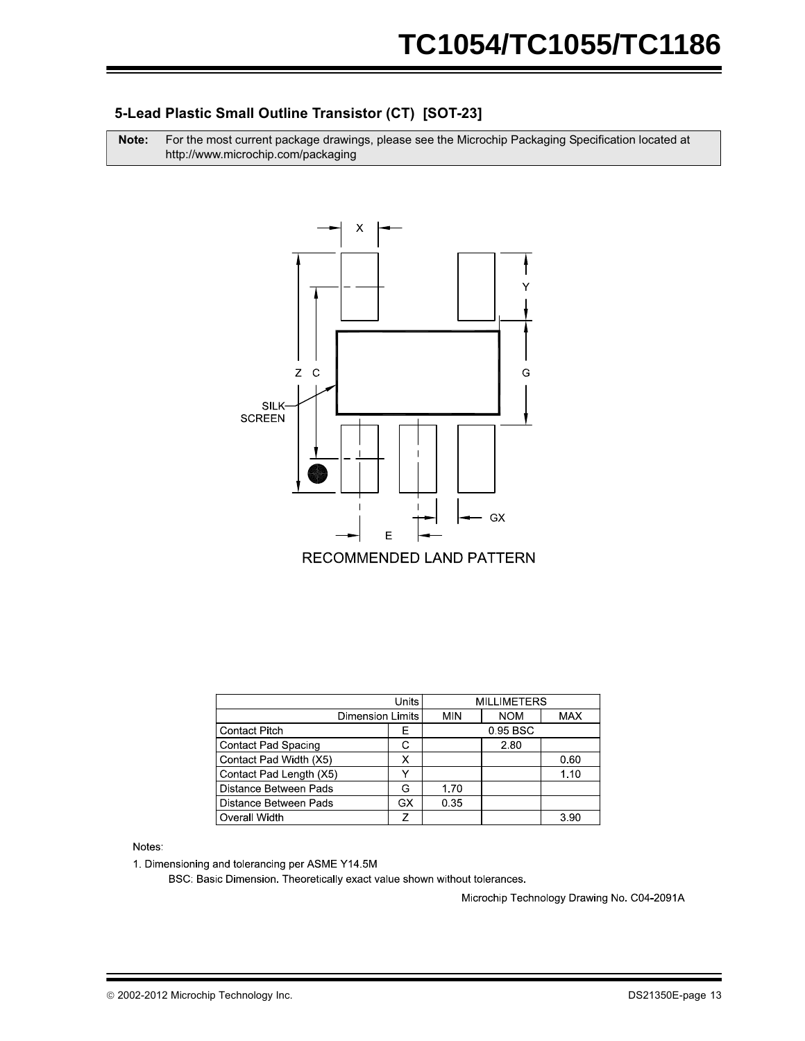#### **5-Lead Plastic Small Outline Transistor (CT) [SOT-23]**

**Note:** For the most current package drawings, please see the Microchip Packaging Specification located at http://www.microchip.com/packaging



|                           |            | <b>MILLIMETERS</b> |            |      |
|---------------------------|------------|--------------------|------------|------|
| <b>Dimension Limits</b>   | <b>MIN</b> | <b>NOM</b>         | <b>MAX</b> |      |
| <b>Contact Pitch</b><br>F |            |                    | 0.95 BSC   |      |
| Contact Pad Spacing       |            |                    | 2.80       |      |
| Contact Pad Width (X5)    |            |                    |            | 0.60 |
| Contact Pad Length (X5)   |            |                    |            | 1 10 |
| Distance Between Pads     | G          | 1.70               |            |      |
| Distance Between Pads     | GX         | 0.35               |            |      |
| Overall Width             |            |                    |            | 3.90 |

Notes:

1. Dimensioning and tolerancing per ASME Y14.5M

BSC: Basic Dimension. Theoretically exact value shown without tolerances.

Microchip Technology Drawing No. C04-2091A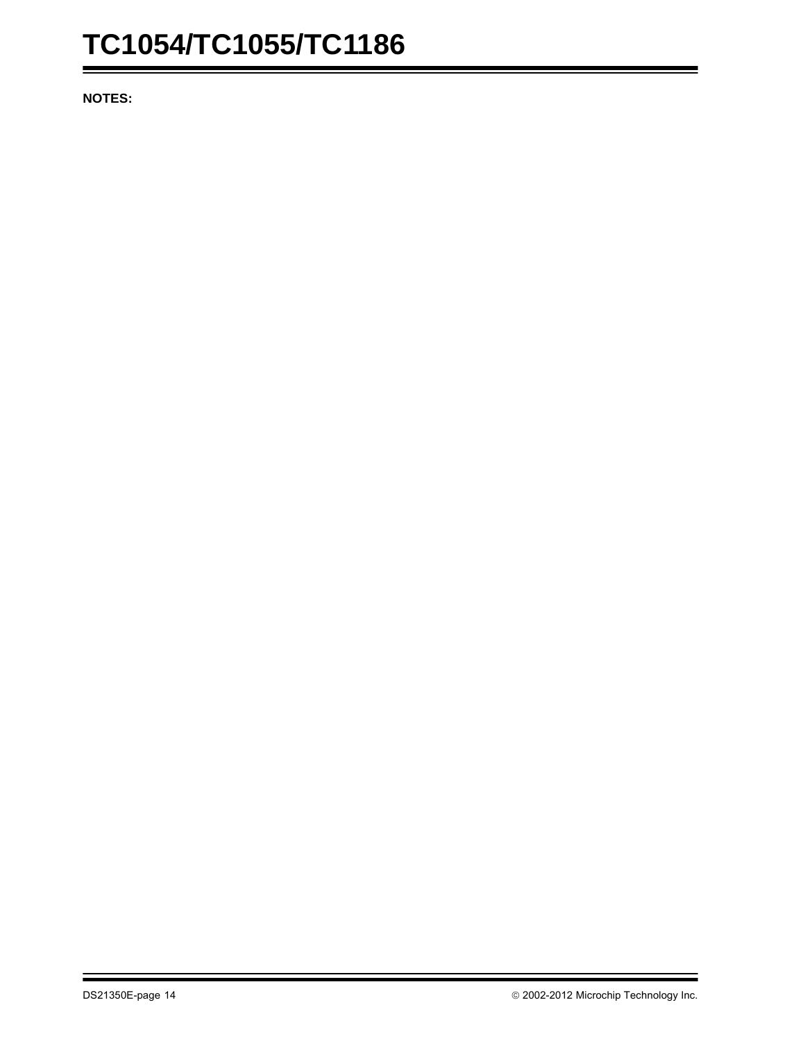**NOTES:**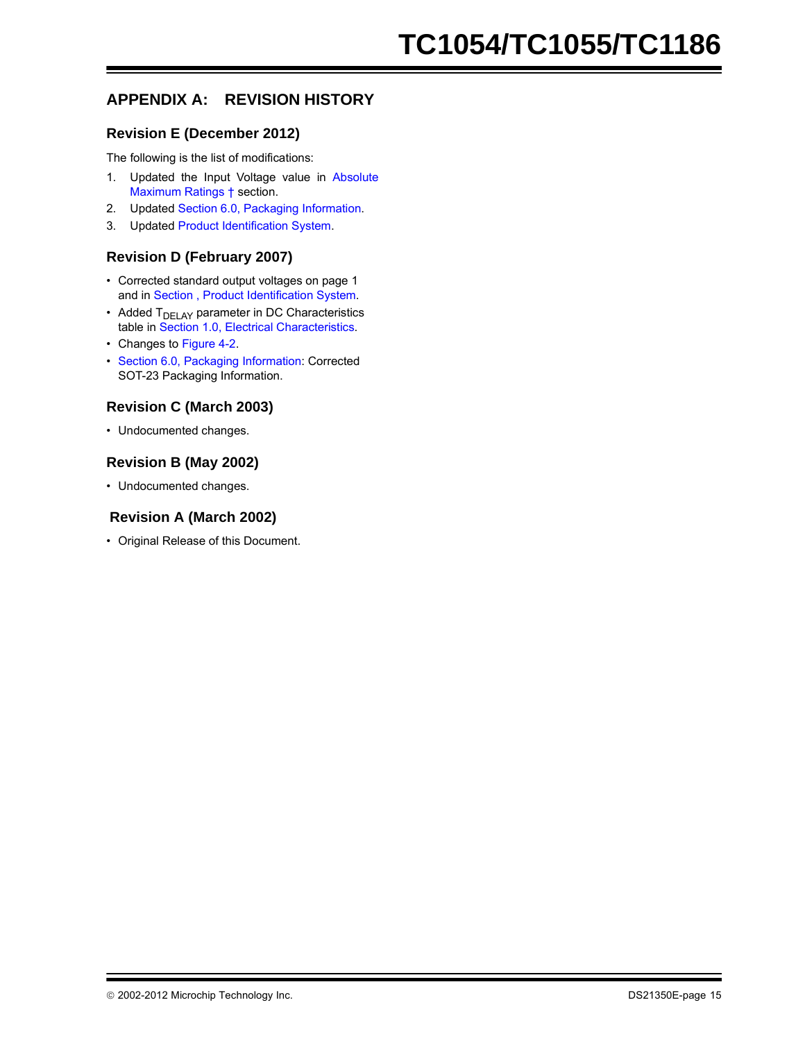### **APPENDIX A: REVISION HISTORY**

#### **Revision E (December 2012)**

The following is the list of modifications:

- 1. Updated the Input Voltage value in [Absolute](#page-1-10) [Maximum Ratings †](#page-1-10) section.
- 2. Updated [Section 6.0, Packaging Information.](#page-10-0)
- 3. Updated [Product Identification System.](#page-16-0)

#### **Revision D (February 2007)**

- Corrected standard output voltages on page 1 and in [Section , Product Identification System.](#page-16-0)
- Added  $T<sub>DELAY</sub>$  parameter in DC Characteristics table in [Section 1.0, Electrical Characteristics.](#page-1-9)
- Changes to [Figure 4-2](#page-8-2).
- [Section 6.0, Packaging Information](#page-10-0): Corrected SOT-23 Packaging Information.

#### **Revision C (March 2003)**

• Undocumented changes.

#### **Revision B (May 2002)**

• Undocumented changes.

#### **Revision A (March 2002)**

• Original Release of this Document.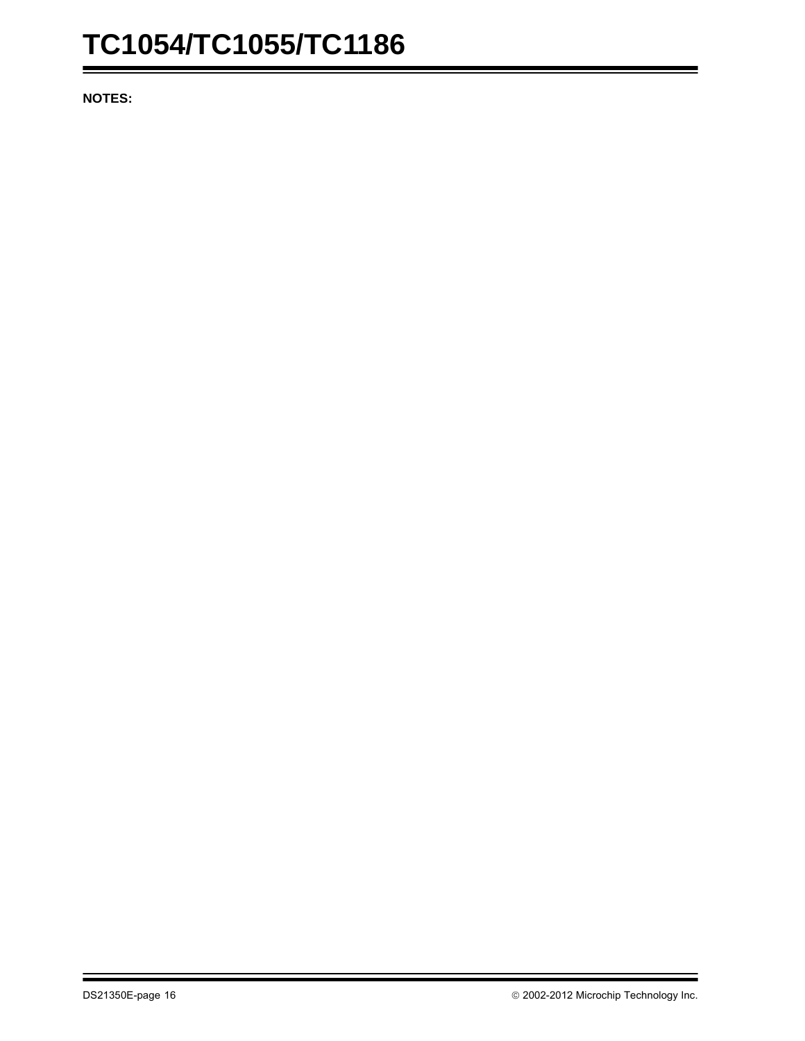**NOTES:**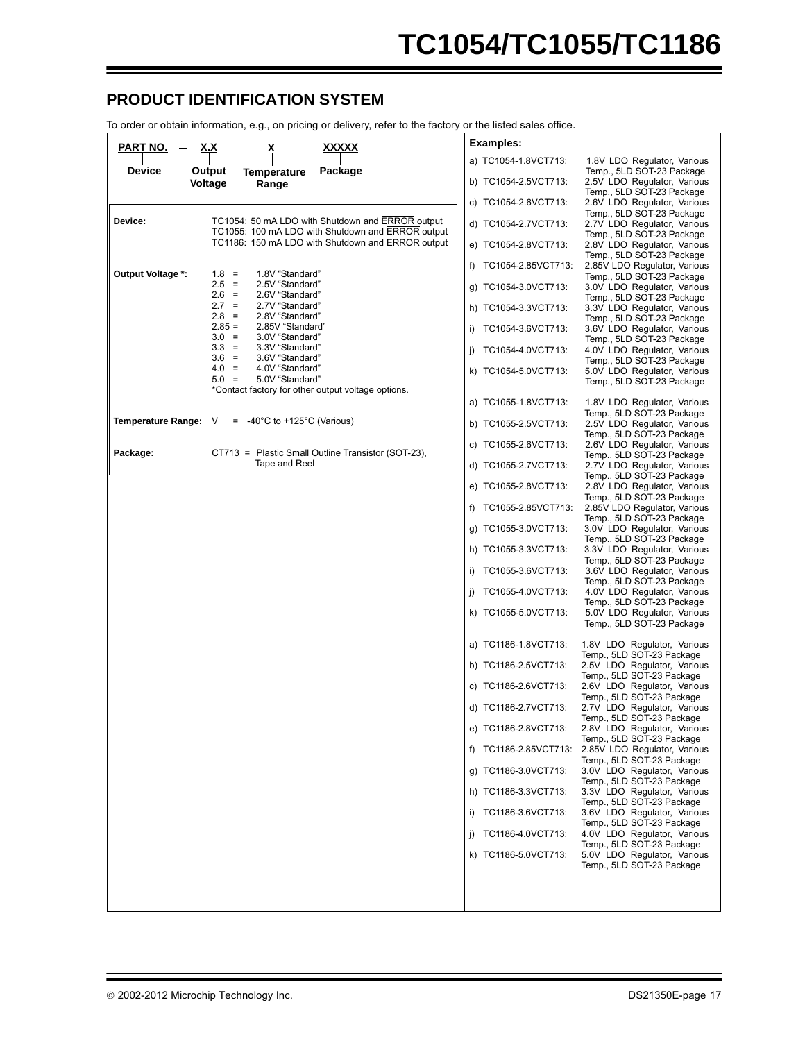#### <span id="page-16-0"></span>**PRODUCT IDENTIFICATION SYSTEM**

To order or obtain information, e.g., on pricing or delivery, refer to the factory or the listed sales office.

| <u>PART NO.</u><br><u>xxxxx</u><br><u>x.x</u><br>≚                                                               | <b>Examples:</b>                                                                                                 |
|------------------------------------------------------------------------------------------------------------------|------------------------------------------------------------------------------------------------------------------|
| <b>Device</b><br>Output<br>Package<br><b>Temperature</b>                                                         | a) TC1054-1.8VCT713:<br>1.8V LDO Regulator, Various<br>Temp., 5LD SOT-23 Package                                 |
| Voltage<br>Range                                                                                                 | 2.5V LDO Regulator, Various<br>b) TC1054-2.5VCT713:<br>Temp., 5LD SOT-23 Package                                 |
|                                                                                                                  | c) TC1054-2.6VCT713:<br>2.6V LDO Regulator, Various<br>Temp., 5LD SOT-23 Package                                 |
| Device:<br>TC1054: 50 mA LDO with Shutdown and ERROR output<br>TC1055: 100 mA LDO with Shutdown and ERROR output | d) TC1054-2.7VCT713:<br>2.7V LDO Regulator, Various<br>Temp., 5LD SOT-23 Package                                 |
| TC1186: 150 mA LDO with Shutdown and ERROR output                                                                | e) TC1054-2.8VCT713:<br>2.8V LDO Regulator, Various<br>Temp., 5LD SOT-23 Package                                 |
| Output Voltage *:<br>$1.8 =$<br>1.8V "Standard"                                                                  | f) TC1054-2.85VCT713:<br>2.85V LDO Regulator, Various<br>Temp., 5LD SOT-23 Package                               |
| $2.5 =$<br>2.5V "Standard"<br>$2.6 =$<br>2.6V "Standard"                                                         | g) TC1054-3.0VCT713:<br>3.0V LDO Regulator, Various                                                              |
| $2.7 =$<br>2.7V "Standard"<br>$2.8 =$<br>2.8V "Standard"                                                         | Temp., 5LD SOT-23 Package<br>h) TC1054-3.3VCT713:<br>3.3V LDO Regulator, Various                                 |
| $2.85 =$<br>2.85V "Standard"<br>$3.0 =$<br>3.0V "Standard"                                                       | Temp., 5LD SOT-23 Package<br>TC1054-3.6VCT713:<br>3.6V LDO Regulator, Various<br>i).                             |
| $3.3 =$<br>3.3V "Standard"<br>$3.6 =$<br>3.6V "Standard"                                                         | Temp., 5LD SOT-23 Package<br>4.0V LDO Regulator, Various<br>TC1054-4.0VCT713:<br>I)                              |
| $4.0 =$<br>4.0V "Standard"<br>$5.0 =$<br>5.0V "Standard"                                                         | Temp., 5LD SOT-23 Package<br>k) TC1054-5.0VCT713:<br>5.0V LDO Regulator, Various<br>Temp., 5LD SOT-23 Package    |
| *Contact factory for other output voltage options.                                                               | a) TC1055-1.8VCT713:<br>1.8V LDO Regulator, Various                                                              |
| Temperature Range: V<br>$= -40^{\circ}$ C to +125 <sup>°</sup> C (Various)                                       | Temp., 5LD SOT-23 Package<br>2.5V LDO Regulator, Various<br>b) TC1055-2.5VCT713:                                 |
| Package:<br>CT713 = Plastic Small Outline Transistor (SOT-23),                                                   | Temp., 5LD SOT-23 Package<br>c) TC1055-2.6VCT713:<br>2.6V LDO Regulator, Various                                 |
| Tape and Reel                                                                                                    | Temp., 5LD SOT-23 Package<br>d) TC1055-2.7VCT713:<br>2.7V LDO Regulator, Various                                 |
|                                                                                                                  | Temp., 5LD SOT-23 Package<br>e) TC1055-2.8VCT713:<br>2.8V LDO Regulator, Various                                 |
|                                                                                                                  | Temp., 5LD SOT-23 Package<br>f) TC1055-2.85VCT713:<br>2.85V LDO Regulator, Various                               |
|                                                                                                                  | Temp., 5LD SOT-23 Package<br>3.0V LDO Regulator, Various<br>g) TC1055-3.0VCT713:                                 |
|                                                                                                                  | Temp., 5LD SOT-23 Package<br>3.3V LDO Regulator, Various<br>h) TC1055-3.3VCT713:                                 |
|                                                                                                                  | Temp., 5LD SOT-23 Package<br>TC1055-3.6VCT713:<br>3.6V LDO Regulator, Various<br>i)<br>Temp., 5LD SOT-23 Package |
|                                                                                                                  | 4.0V LDO Regulator, Various<br>TC1055-4.0VCT713:<br>I)<br>Temp., 5LD SOT-23 Package                              |
|                                                                                                                  | 5.0V LDO Regulator, Various<br>k) TC1055-5.0VCT713:<br>Temp., 5LD SOT-23 Package                                 |
|                                                                                                                  | a) TC1186-1.8VCT713:<br>1.8V LDO Regulator, Various<br>Temp., 5LD SOT-23 Package                                 |
|                                                                                                                  | b) TC1186-2.5VCT713:<br>2.5V LDO Regulator, Various<br>Temp., 5LD SOT-23 Package                                 |
|                                                                                                                  | c) TC1186-2.6VCT713:<br>2.6V LDO Regulator, Various<br>Temp., 5LD SOT-23 Package                                 |
|                                                                                                                  | d) TC1186-2.7VCT713:<br>2.7V LDO Regulator, Various<br>Temp., 5LD SOT-23 Package                                 |
|                                                                                                                  | e) TC1186-2.8VCT713:<br>2.8V LDO Regulator, Various<br>Temp., 5LD SOT-23 Package                                 |
|                                                                                                                  | f) TC1186-2.85VCT713:<br>2.85V LDO Regulator, Various<br>Temp., 5LD SOT-23 Package                               |
|                                                                                                                  | 3.0V LDO Regulator, Various<br>g) TC1186-3.0VCT713:<br>Temp., 5LD SOT-23 Package                                 |
|                                                                                                                  | 3.3V LDO Regulator, Various<br>h) TC1186-3.3VCT713:<br>Temp., 5LD SOT-23 Package                                 |
|                                                                                                                  | i) TC1186-3.6VCT713:<br>3.6V LDO Regulator, Various<br>Temp., 5LD SOT-23 Package                                 |
|                                                                                                                  | i) TC1186-4.0VCT713:<br>4.0V LDO Regulator, Various<br>Temp., 5LD SOT-23 Package                                 |
|                                                                                                                  | 5.0V LDO Regulator, Various<br>k) TC1186-5.0VCT713:<br>Temp., 5LD SOT-23 Package                                 |
|                                                                                                                  |                                                                                                                  |
|                                                                                                                  |                                                                                                                  |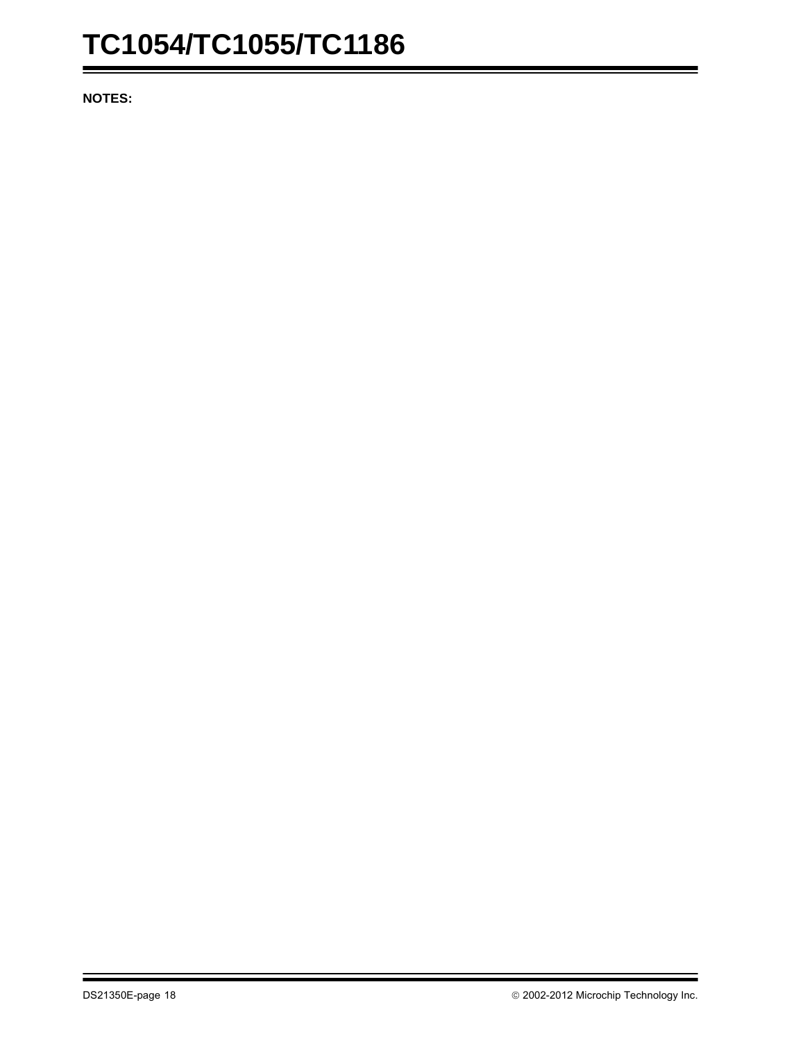**NOTES:**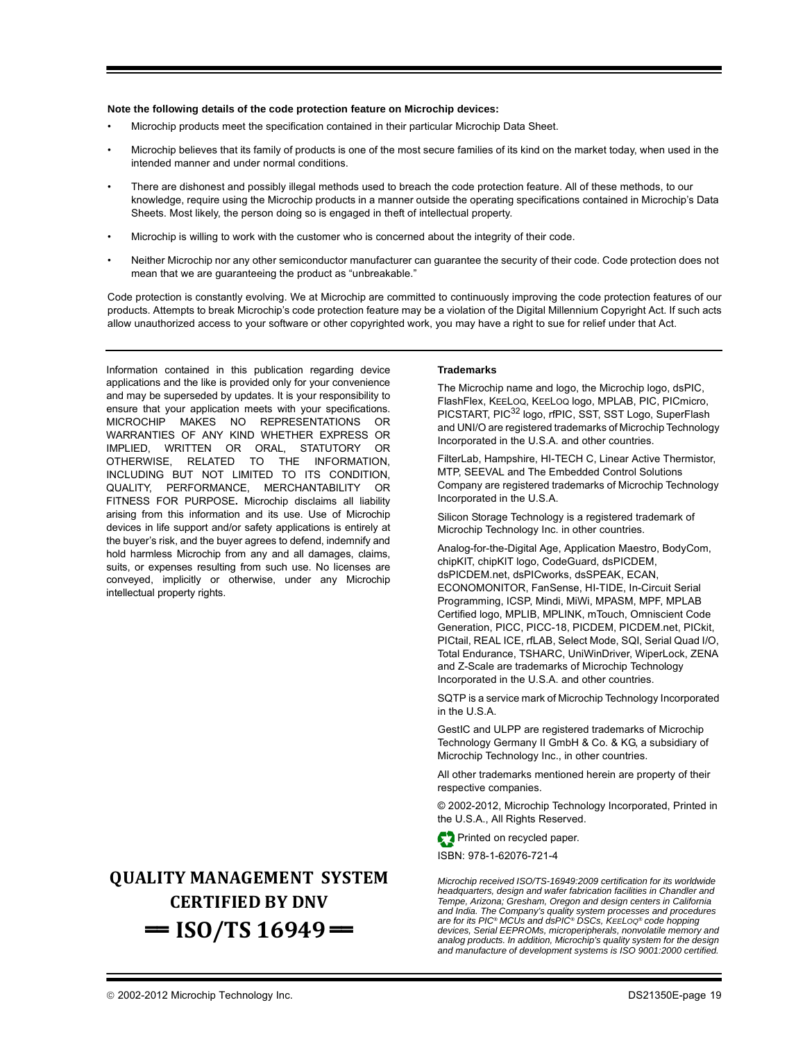#### **Note the following details of the code protection feature on Microchip devices:**

- Microchip products meet the specification contained in their particular Microchip Data Sheet.
- Microchip believes that its family of products is one of the most secure families of its kind on the market today, when used in the intended manner and under normal conditions.
- There are dishonest and possibly illegal methods used to breach the code protection feature. All of these methods, to our knowledge, require using the Microchip products in a manner outside the operating specifications contained in Microchip's Data Sheets. Most likely, the person doing so is engaged in theft of intellectual property.
- Microchip is willing to work with the customer who is concerned about the integrity of their code.
- Neither Microchip nor any other semiconductor manufacturer can guarantee the security of their code. Code protection does not mean that we are guaranteeing the product as "unbreakable."

Code protection is constantly evolving. We at Microchip are committed to continuously improving the code protection features of our products. Attempts to break Microchip's code protection feature may be a violation of the Digital Millennium Copyright Act. If such acts allow unauthorized access to your software or other copyrighted work, you may have a right to sue for relief under that Act.

Information contained in this publication regarding device applications and the like is provided only for your convenience and may be superseded by updates. It is your responsibility to ensure that your application meets with your specifications. MICROCHIP MAKES NO REPRESENTATIONS OR WARRANTIES OF ANY KIND WHETHER EXPRESS OR IMPLIED, WRITTEN OR ORAL, STATUTORY OR OTHERWISE, RELATED TO THE INFORMATION, INCLUDING BUT NOT LIMITED TO ITS CONDITION, QUALITY, PERFORMANCE, MERCHANTABILITY OR FITNESS FOR PURPOSE**.** Microchip disclaims all liability arising from this information and its use. Use of Microchip devices in life support and/or safety applications is entirely at the buyer's risk, and the buyer agrees to defend, indemnify and hold harmless Microchip from any and all damages, claims, suits, or expenses resulting from such use. No licenses are conveyed, implicitly or otherwise, under any Microchip intellectual property rights.

## **QUALITY MANAGEMENT SYSTEM CERTIFIED BY DNV**   $=$  **ISO/TS 16949** $=$

#### **Trademarks**

The Microchip name and logo, the Microchip logo, dsPIC, FlashFlex, KEELOQ, KEELOQ logo, MPLAB, PIC, PICmicro, PICSTART, PIC<sup>32</sup> logo, rfPIC, SST, SST Logo, SuperFlash and UNI/O are registered trademarks of Microchip Technology Incorporated in the U.S.A. and other countries.

FilterLab, Hampshire, HI-TECH C, Linear Active Thermistor, MTP, SEEVAL and The Embedded Control Solutions Company are registered trademarks of Microchip Technology Incorporated in the U.S.A.

Silicon Storage Technology is a registered trademark of Microchip Technology Inc. in other countries.

Analog-for-the-Digital Age, Application Maestro, BodyCom, chipKIT, chipKIT logo, CodeGuard, dsPICDEM, dsPICDEM.net, dsPICworks, dsSPEAK, ECAN, ECONOMONITOR, FanSense, HI-TIDE, In-Circuit Serial Programming, ICSP, Mindi, MiWi, MPASM, MPF, MPLAB Certified logo, MPLIB, MPLINK, mTouch, Omniscient Code Generation, PICC, PICC-18, PICDEM, PICDEM.net, PICkit, PICtail, REAL ICE, rfLAB, Select Mode, SQI, Serial Quad I/O, Total Endurance, TSHARC, UniWinDriver, WiperLock, ZENA and Z-Scale are trademarks of Microchip Technology Incorporated in the U.S.A. and other countries.

SQTP is a service mark of Microchip Technology Incorporated in the U.S.A.

GestIC and ULPP are registered trademarks of Microchip Technology Germany II GmbH & Co. & KG, a subsidiary of Microchip Technology Inc., in other countries.

All other trademarks mentioned herein are property of their respective companies.

© 2002-2012, Microchip Technology Incorporated, Printed in the U.S.A., All Rights Reserved.

Printed on recycled paper.

ISBN: 978-1-62076-721-4

*Microchip received ISO/TS-16949:2009 certification for its worldwide headquarters, design and wafer fabrication facilities in Chandler and Tempe, Arizona; Gresham, Oregon and design centers in California and India. The Company's quality system processes and procedures are for its PIC® MCUs and dsPIC® DSCs, KEELOQ® code hopping devices, Serial EEPROMs, microperipherals, nonvolatile memory and analog products. In addition, Microchip's quality system for the design and manufacture of development systems is ISO 9001:2000 certified.*